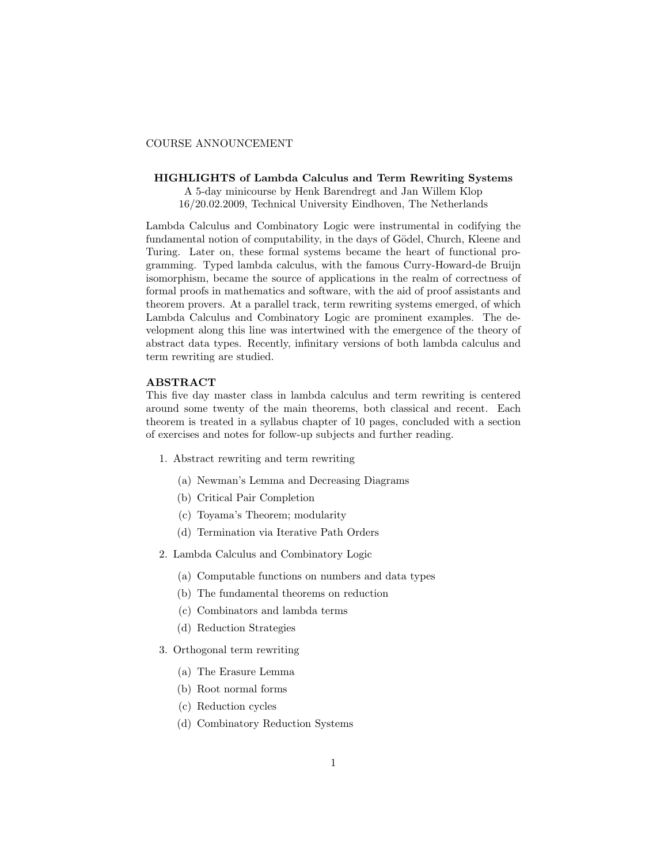## COURSE ANNOUNCEMENT

## HIGHLIGHTS of Lambda Calculus and Term Rewriting Systems

A 5-day minicourse by Henk Barendregt and Jan Willem Klop 16/20.02.2009, Technical University Eindhoven, The Netherlands

Lambda Calculus and Combinatory Logic were instrumental in codifying the fundamental notion of computability, in the days of Gödel, Church, Kleene and Turing. Later on, these formal systems became the heart of functional programming. Typed lambda calculus, with the famous Curry-Howard-de Bruijn isomorphism, became the source of applications in the realm of correctness of formal proofs in mathematics and software, with the aid of proof assistants and theorem provers. At a parallel track, term rewriting systems emerged, of which Lambda Calculus and Combinatory Logic are prominent examples. The development along this line was intertwined with the emergence of the theory of abstract data types. Recently, infinitary versions of both lambda calculus and term rewriting are studied.

## ABSTRACT

This five day master class in lambda calculus and term rewriting is centered around some twenty of the main theorems, both classical and recent. Each theorem is treated in a syllabus chapter of 10 pages, concluded with a section of exercises and notes for follow-up subjects and further reading.

- 1. Abstract rewriting and term rewriting
	- (a) Newman's Lemma and Decreasing Diagrams
	- (b) Critical Pair Completion
	- (c) Toyama's Theorem; modularity
	- (d) Termination via Iterative Path Orders
- 2. Lambda Calculus and Combinatory Logic
	- (a) Computable functions on numbers and data types
	- (b) The fundamental theorems on reduction
	- (c) Combinators and lambda terms
	- (d) Reduction Strategies
- 3. Orthogonal term rewriting
	- (a) The Erasure Lemma
	- (b) Root normal forms
	- (c) Reduction cycles
	- (d) Combinatory Reduction Systems